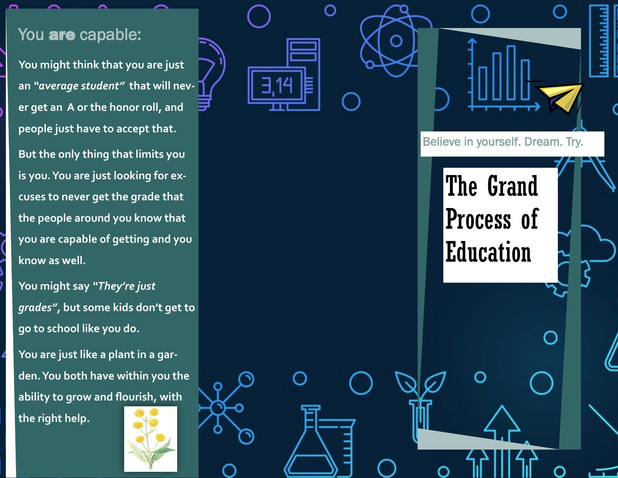## You are capable:

**You might think that you are just an**  *"average student"* **that will never get an A or the honor roll, and people just have to accept that.** 

**But the only thing that limits you is you. You are just looking for excuses to never get the grade that the people around you know that you are capable of getting and you know as well.** 

**You might say**  *"They 're just grades",* **but some kids don 't get to go to school like you do.**

**You are just like a plant in a garden. You both have within you the ability to grow and flourish, with the right help.**